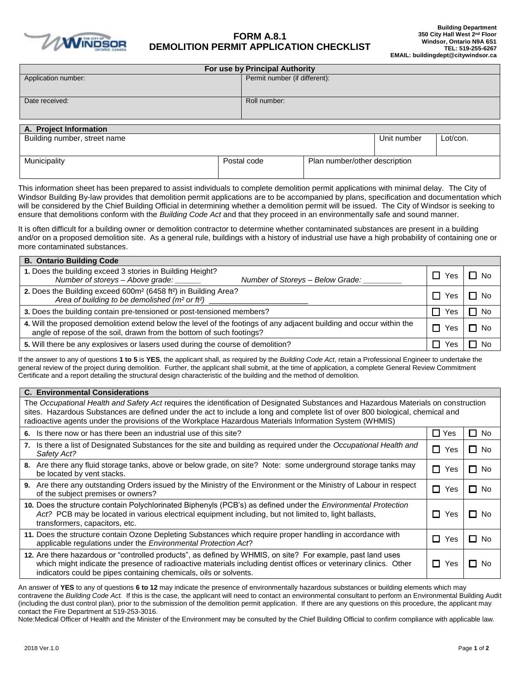

## **FORM A.8.1 DEMOLITION PERMIT APPLICATION CHECKLIST**

| For use by Principal Authority |  |                               |                               |             |          |  |  |
|--------------------------------|--|-------------------------------|-------------------------------|-------------|----------|--|--|
| Application number:            |  | Permit number (if different): |                               |             |          |  |  |
|                                |  |                               |                               |             |          |  |  |
| Date received:                 |  | Roll number:                  |                               |             |          |  |  |
|                                |  |                               |                               |             |          |  |  |
|                                |  |                               |                               |             |          |  |  |
| A. Project Information         |  |                               |                               |             |          |  |  |
| Building number, street name   |  |                               |                               | Unit number | Lot/con. |  |  |
|                                |  |                               |                               |             |          |  |  |
| Municipality                   |  | Postal code                   | Plan number/other description |             |          |  |  |
|                                |  |                               |                               |             |          |  |  |

This information sheet has been prepared to assist individuals to complete demolition permit applications with minimal delay. The City of Windsor Building By-law provides that demolition permit applications are to be accompanied by plans, specification and documentation which will be considered by the Chief Building Official in determining whether a demolition permit will be issued. The City of Windsor is seeking to ensure that demolitions conform with the *Building Code Act* and that they proceed in an environmentally safe and sound manner.

It is often difficult for a building owner or demolition contractor to determine whether contaminated substances are present in a building and/or on a proposed demolition site. As a general rule, buildings with a history of industrial use have a high probability of containing one or more contaminated substances.

| <b>B. Ontario Building Code</b>                                                                                                                                                              |     |      |  |  |
|----------------------------------------------------------------------------------------------------------------------------------------------------------------------------------------------|-----|------|--|--|
| 1. Does the building exceed 3 stories in Building Height?<br>Number of storeys - Above grade:<br>Number of Storeys - Below Grade:                                                            | Yes | l No |  |  |
| 2. Does the Building exceed 600m <sup>2</sup> (6458 ft <sup>2</sup> ) in Building Area?<br>Area of building to be demolished (m <sup>2</sup> or ft <sup>2</sup> )                            |     | ヿ No |  |  |
| 3. Does the building contain pre-tensioned or post-tensioned members?                                                                                                                        |     | Nc.  |  |  |
| 4. Will the proposed demolition extend below the level of the footings of any adjacent building and occur within the<br>angle of repose of the soil, drawn from the bottom of such footings? |     | ∩ No |  |  |
| 5. Will there be any explosives or lasers used during the course of demolition?                                                                                                              |     |      |  |  |

If the answer to any of questions **1 to 5** is **YES**, the applicant shall, as required by the *Building Code Act*, retain a Professional Engineer to undertake the general review of the project during demolition. Further, the applicant shall submit, at the time of application, a complete General Review Commitment Certificate and a report detailing the structural design characteristic of the building and the method of demolition.

| <b>C. Environmental Considerations</b>                                                                                                                                                                                                                                                                                                                                           |            |               |  |  |  |  |
|----------------------------------------------------------------------------------------------------------------------------------------------------------------------------------------------------------------------------------------------------------------------------------------------------------------------------------------------------------------------------------|------------|---------------|--|--|--|--|
| The Occupational Health and Safety Act requires the identification of Designated Substances and Hazardous Materials on construction<br>sites. Hazardous Substances are defined under the act to include a long and complete list of over 800 biological, chemical and<br>radioactive agents under the provisions of the Workplace Hazardous Materials Information System (WHMIS) |            |               |  |  |  |  |
| Is there now or has there been an industrial use of this site?<br>6.                                                                                                                                                                                                                                                                                                             | $\Box$ Yes | 0<br>No.      |  |  |  |  |
| 7. Is there a list of Designated Substances for the site and building as required under the Occupational Health and<br>Safety Act?                                                                                                                                                                                                                                               | П<br>Yes   | Q.<br>No.     |  |  |  |  |
| 8. Are there any fluid storage tanks, above or below grade, on site? Note: some underground storage tanks may<br>be located by vent stacks.                                                                                                                                                                                                                                      | П<br>Yes   | 1 I<br>No.    |  |  |  |  |
| 9. Are there any outstanding Orders issued by the Ministry of the Environment or the Ministry of Labour in respect<br>of the subject premises or owners?                                                                                                                                                                                                                         | П<br>Yes   | П<br>No.      |  |  |  |  |
| 10. Does the structure contain Polychlorinated Biphenyls (PCB's) as defined under the <i>Environmental Protection</i><br>Act? PCB may be located in various electrical equipment including, but not limited to, light ballasts,<br>transformers, capacitors, etc.                                                                                                                |            | П.<br>No.     |  |  |  |  |
| 11. Does the structure contain Ozone Depleting Substances which require proper handling in accordance with<br>applicable regulations under the <i>Environmental Protection Act</i> ?                                                                                                                                                                                             |            | $\Box$<br>No. |  |  |  |  |
| 12. Are there hazardous or "controlled products", as defined by WHMIS, on site? For example, past land uses<br>which might indicate the presence of radioactive materials including dentist offices or veterinary clinics. Other<br>indicators could be pipes containing chemicals, oils or solvents.                                                                            | $\Box$ Yes | П<br>No.      |  |  |  |  |

An answer of **YES** to any of questions **6 to 12** may indicate the presence of environmentally hazardous substances or building elements which may contravene the *Building Code Act.* If this is the case, the applicant will need to contact an environmental consultant to perform an Environmental Building Audit (including the dust control plan), prior to the submission of the demolition permit application. If there are any questions on this procedure, the applicant may contact the Fire Department at 519-253-3016.

Note:Medical Officer of Health and the Minister of the Environment may be consulted by the Chief Building Official to confirm compliance with applicable law.